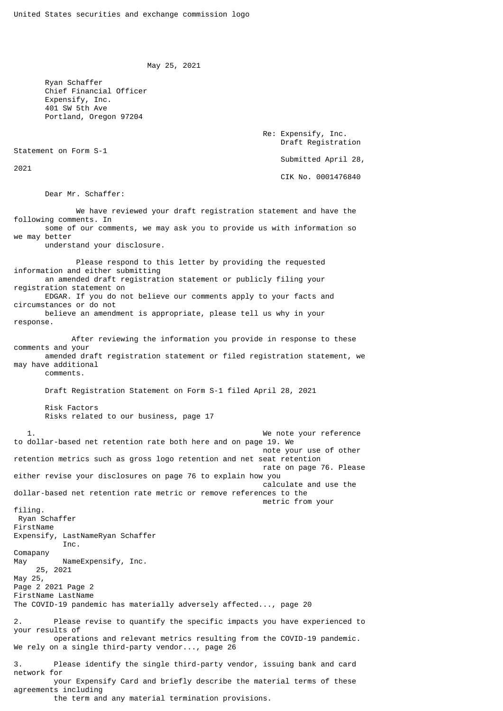May 25, 2021

 Ryan Schaffer Chief Financial Officer Expensify, Inc. 401 SW 5th Ave Portland, Oregon 97204

> Re: Expensify, Inc. Draft Registration Submitted April 28, CIK No. 0001476840

Dear Mr. Schaffer:

Statement on Form S-1

2021

 We have reviewed your draft registration statement and have the following comments. In some of our comments, we may ask you to provide us with information so we may better understand your disclosure. Please respond to this letter by providing the requested information and either submitting an amended draft registration statement or publicly filing your registration statement on EDGAR. If you do not believe our comments apply to your facts and circumstances or do not believe an amendment is appropriate, please tell us why in your response. After reviewing the information you provide in response to these comments and your amended draft registration statement or filed registration statement, we may have additional comments. Draft Registration Statement on Form S-1 filed April 28, 2021 Risk Factors Risks related to our business, page 17 1. The set of the set of the set of the set of the set of the set of the set of the set of the set of the set of the set of the set of the set of the set of the set of the set of the set of the set of the set of the set of to dollar-based net retention rate both here and on page 19. We note your use of other retention metrics such as gross logo retention and net seat retention rate on page 76. Please either revise your disclosures on page 76 to explain how you calculate and use the dollar-based net retention rate metric or remove references to the metric from your filing. Ryan Schaffer FirstName Expensify, LastNameRyan Schaffer Inc. Comapany May NameExpensify, Inc. 25, 2021 May 25, Page 2 2021 Page 2 FirstName LastName The COVID-19 pandemic has materially adversely affected..., page 20 2. Please revise to quantify the specific impacts you have experienced to your results of operations and relevant metrics resulting from the COVID-19 pandemic. We rely on a single third-party vendor..., page 26 3. Please identify the single third-party vendor, issuing bank and card network for your Expensify Card and briefly describe the material terms of these agreements including the term and any material termination provisions.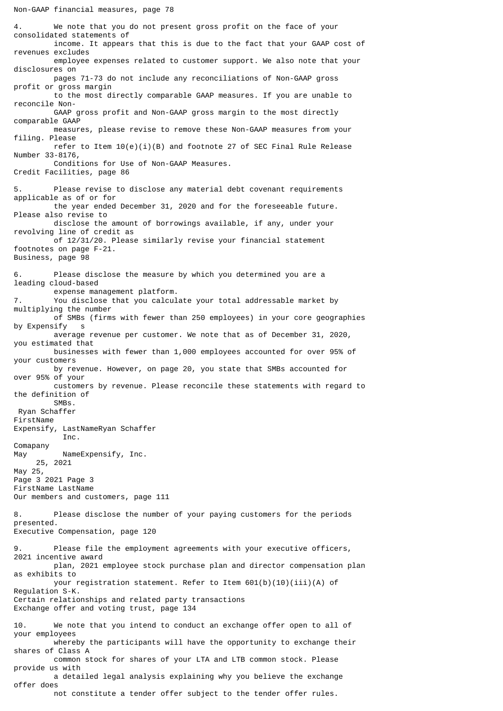4. We note that you do not present gross profit on the face of your consolidated statements of income. It appears that this is due to the fact that your GAAP cost of revenues excludes employee expenses related to customer support. We also note that your disclosures on pages 71-73 do not include any reconciliations of Non-GAAP gross profit or gross margin to the most directly comparable GAAP measures. If you are unable to reconcile Non- GAAP gross profit and Non-GAAP gross margin to the most directly comparable GAAP measures, please revise to remove these Non-GAAP measures from your filing. Please refer to Item  $10(e)(i)(B)$  and footnote 27 of SEC Final Rule Release Number 33-8176, Conditions for Use of Non-GAAP Measures. Credit Facilities, page 86 Please revise to disclose any material debt covenant requirements applicable as of or for the year ended December 31, 2020 and for the foreseeable future. Please also revise to disclose the amount of borrowings available, if any, under your revolving line of credit as of 12/31/20. Please similarly revise your financial statement footnotes on page F-21. Business, page 98 6. Please disclose the measure by which you determined you are a leading cloud-based expense management platform.<br>T. You disclose that you calcul You disclose that you calculate your total addressable market by multiplying the number of SMBs (firms with fewer than 250 employees) in your core geographies by Expensify s average revenue per customer. We note that as of December 31, 2020, you estimated that businesses with fewer than 1,000 employees accounted for over 95% of your customers by revenue. However, on page 20, you state that SMBs accounted for over 95% of your customers by revenue. Please reconcile these statements with regard to the definition of SMBs. Ryan Schaffer FirstName Expensify, LastNameRyan Schaffer Inc. Comapany May NameExpensify, Inc. 25, 2021 May 25, Page 3 2021 Page 3 FirstName LastName Our members and customers, page 111 8. Please disclose the number of your paying customers for the periods presented. Executive Compensation, page 120 9. Please file the employment agreements with your executive officers, 2021 incentive award plan, 2021 employee stock purchase plan and director compensation plan as exhibits to your registration statement. Refer to Item 601(b)(10)(iii)(A) of Regulation S-K. Certain relationships and related party transactions Exchange offer and voting trust, page 134 10. We note that you intend to conduct an exchange offer open to all of your employees whereby the participants will have the opportunity to exchange their shares of Class A common stock for shares of your LTA and LTB common stock. Please provide us with a detailed legal analysis explaining why you believe the exchange offer does

not constitute a tender offer subject to the tender offer rules.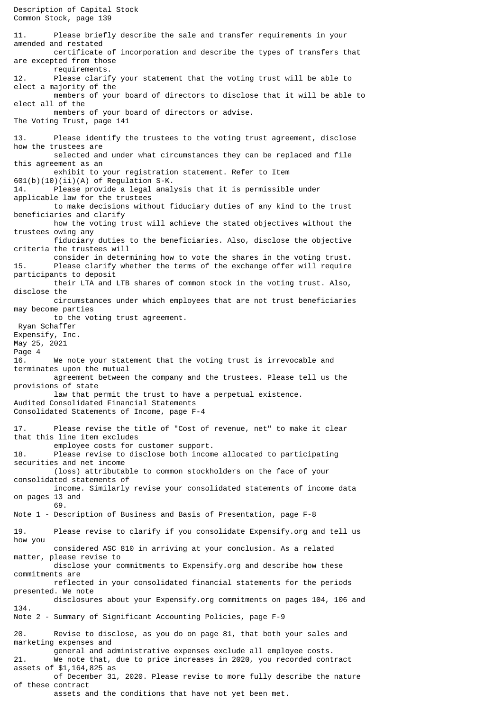Description of Capital Stock Common Stock, page 139 11. Please briefly describe the sale and transfer requirements in your amended and restated certificate of incorporation and describe the types of transfers that are excepted from those requirements. 12. Please clarify your statement that the voting trust will be able to elect a majority of the members of your board of directors to disclose that it will be able to elect all of the members of your board of directors or advise. The Voting Trust, page 141 13. Please identify the trustees to the voting trust agreement, disclose how the trustees are selected and under what circumstances they can be replaced and file this agreement as an exhibit to your registration statement. Refer to Item  $601(b)(10)(ii)(A)$  of Regulation S-K. 14. Please provide a legal analysis that it is permissible under applicable law for the trustees to make decisions without fiduciary duties of any kind to the trust beneficiaries and clarify how the voting trust will achieve the stated objectives without the trustees owing any fiduciary duties to the beneficiaries. Also, disclose the objective criteria the trustees will consider in determining how to vote the shares in the voting trust.<br>Please clarify whether the terms of the exchange offer will require Please clarify whether the terms of the exchange offer will require participants to deposit their LTA and LTB shares of common stock in the voting trust. Also, disclose the circumstances under which employees that are not trust beneficiaries may become parties to the voting trust agreement. Ryan Schaffer Expensify, Inc. May 25, 2021 Page 4 16. We note your statement that the voting trust is irrevocable and terminates upon the mutual agreement between the company and the trustees. Please tell us the provisions of state law that permit the trust to have a perpetual existence. Audited Consolidated Financial Statements Consolidated Statements of Income, page F-4 17. Please revise the title of "Cost of revenue, net" to make it clear that this line item excludes employee costs for customer support. 18. Please revise to disclose both income allocated to participating securities and net income (loss) attributable to common stockholders on the face of your consolidated statements of income. Similarly revise your consolidated statements of income data on pages 13 and 69. Note 1 - Description of Business and Basis of Presentation, page F-8 19. Please revise to clarify if you consolidate Expensify.org and tell us how you considered ASC 810 in arriving at your conclusion. As a related matter, please revise to disclose your commitments to Expensify.org and describe how these commitments are reflected in your consolidated financial statements for the periods presented. We note disclosures about your Expensify.org commitments on pages 104, 106 and 134. Note 2 - Summary of Significant Accounting Policies, page F-9 20. Revise to disclose, as you do on page 81, that both your sales and marketing expenses and general and administrative expenses exclude all employee costs. 21. We note that, due to price increases in 2020, you recorded contract assets of \$1,164,825 as of December 31, 2020. Please revise to more fully describe the nature of these contract assets and the conditions that have not yet been met.